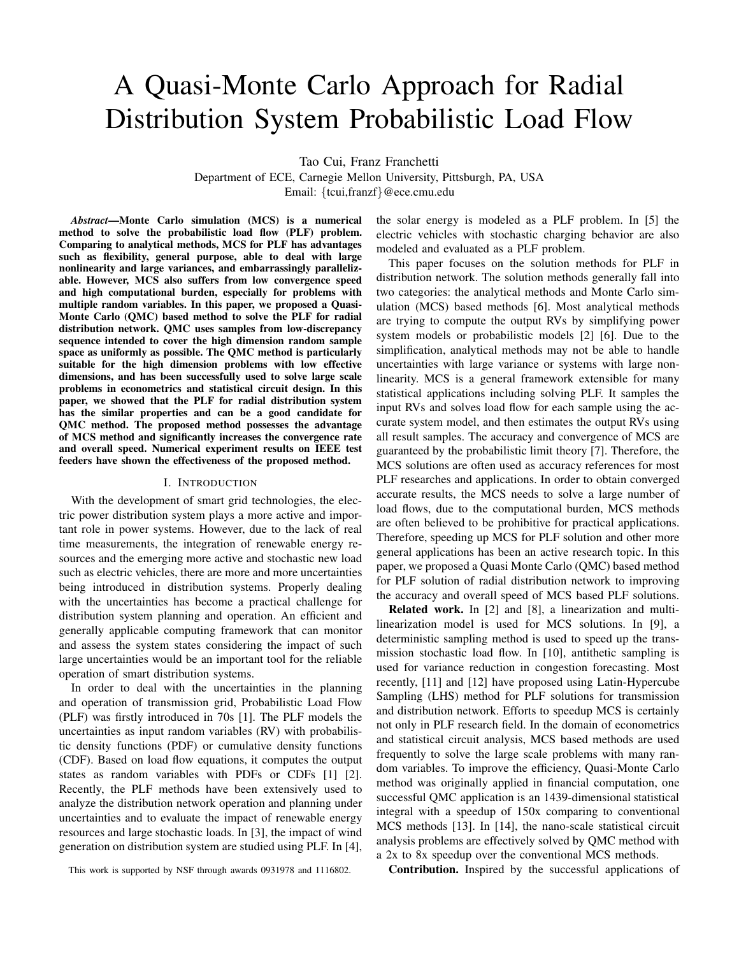# A Quasi-Monte Carlo Approach for Radial Distribution System Probabilistic Load Flow

Tao Cui, Franz Franchetti

Department of ECE, Carnegie Mellon University, Pittsburgh, PA, USA Email: {tcui,franzf}@ece.cmu.edu

*Abstract*—Monte Carlo simulation (MCS) is a numerical method to solve the probabilistic load flow (PLF) problem. Comparing to analytical methods, MCS for PLF has advantages such as flexibility, general purpose, able to deal with large nonlinearity and large variances, and embarrassingly parallelizable. However, MCS also suffers from low convergence speed and high computational burden, especially for problems with multiple random variables. In this paper, we proposed a Quasi-Monte Carlo (QMC) based method to solve the PLF for radial distribution network. QMC uses samples from low-discrepancy sequence intended to cover the high dimension random sample space as uniformly as possible. The QMC method is particularly suitable for the high dimension problems with low effective dimensions, and has been successfully used to solve large scale problems in econometrics and statistical circuit design. In this paper, we showed that the PLF for radial distribution system has the similar properties and can be a good candidate for QMC method. The proposed method possesses the advantage of MCS method and significantly increases the convergence rate and overall speed. Numerical experiment results on IEEE test feeders have shown the effectiveness of the proposed method.

## I. INTRODUCTION

With the development of smart grid technologies, the electric power distribution system plays a more active and important role in power systems. However, due to the lack of real time measurements, the integration of renewable energy resources and the emerging more active and stochastic new load such as electric vehicles, there are more and more uncertainties being introduced in distribution systems. Properly dealing with the uncertainties has become a practical challenge for distribution system planning and operation. An efficient and generally applicable computing framework that can monitor and assess the system states considering the impact of such large uncertainties would be an important tool for the reliable operation of smart distribution systems.

In order to deal with the uncertainties in the planning and operation of transmission grid, Probabilistic Load Flow (PLF) was firstly introduced in 70s [1]. The PLF models the uncertainties as input random variables (RV) with probabilistic density functions (PDF) or cumulative density functions (CDF). Based on load flow equations, it computes the output states as random variables with PDFs or CDFs [1] [2]. Recently, the PLF methods have been extensively used to analyze the distribution network operation and planning under uncertainties and to evaluate the impact of renewable energy resources and large stochastic loads. In [3], the impact of wind generation on distribution system are studied using PLF. In [4],

the solar energy is modeled as a PLF problem. In [5] the electric vehicles with stochastic charging behavior are also modeled and evaluated as a PLF problem.

This paper focuses on the solution methods for PLF in distribution network. The solution methods generally fall into two categories: the analytical methods and Monte Carlo simulation (MCS) based methods [6]. Most analytical methods are trying to compute the output RVs by simplifying power system models or probabilistic models [2] [6]. Due to the simplification, analytical methods may not be able to handle uncertainties with large variance or systems with large nonlinearity. MCS is a general framework extensible for many statistical applications including solving PLF. It samples the input RVs and solves load flow for each sample using the accurate system model, and then estimates the output RVs using all result samples. The accuracy and convergence of MCS are guaranteed by the probabilistic limit theory [7]. Therefore, the MCS solutions are often used as accuracy references for most PLF researches and applications. In order to obtain converged accurate results, the MCS needs to solve a large number of load flows, due to the computational burden, MCS methods are often believed to be prohibitive for practical applications. Therefore, speeding up MCS for PLF solution and other more general applications has been an active research topic. In this paper, we proposed a Quasi Monte Carlo (QMC) based method for PLF solution of radial distribution network to improving the accuracy and overall speed of MCS based PLF solutions.

Related work. In [2] and [8], a linearization and multilinearization model is used for MCS solutions. In [9], a deterministic sampling method is used to speed up the transmission stochastic load flow. In [10], antithetic sampling is used for variance reduction in congestion forecasting. Most recently, [11] and [12] have proposed using Latin-Hypercube Sampling (LHS) method for PLF solutions for transmission and distribution network. Efforts to speedup MCS is certainly not only in PLF research field. In the domain of econometrics and statistical circuit analysis, MCS based methods are used frequently to solve the large scale problems with many random variables. To improve the efficiency, Quasi-Monte Carlo method was originally applied in financial computation, one successful QMC application is an 1439-dimensional statistical integral with a speedup of 150x comparing to conventional MCS methods [13]. In [14], the nano-scale statistical circuit analysis problems are effectively solved by QMC method with a 2x to 8x speedup over the conventional MCS methods.

Contribution. Inspired by the successful applications of

This work is supported by NSF through awards 0931978 and 1116802.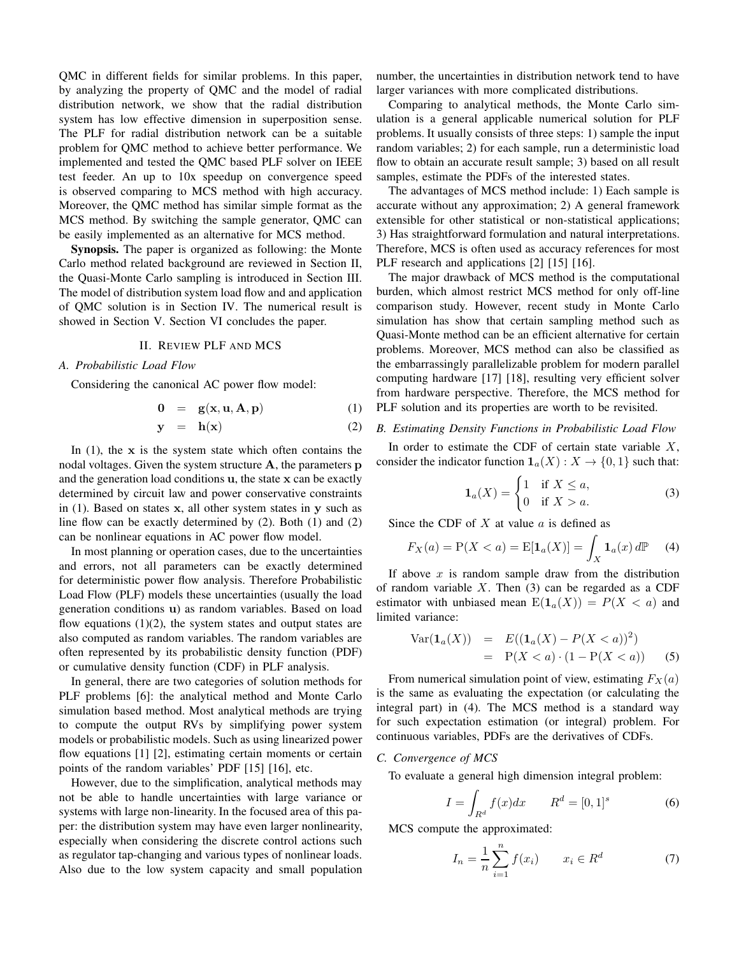QMC in different fields for similar problems. In this paper, by analyzing the property of QMC and the model of radial distribution network, we show that the radial distribution system has low effective dimension in superposition sense. The PLF for radial distribution network can be a suitable problem for QMC method to achieve better performance. We implemented and tested the QMC based PLF solver on IEEE test feeder. An up to 10x speedup on convergence speed is observed comparing to MCS method with high accuracy. Moreover, the QMC method has similar simple format as the MCS method. By switching the sample generator, QMC can be easily implemented as an alternative for MCS method.

Synopsis. The paper is organized as following: the Monte Carlo method related background are reviewed in Section II, the Quasi-Monte Carlo sampling is introduced in Section III. The model of distribution system load flow and and application of QMC solution is in Section IV. The numerical result is showed in Section V. Section VI concludes the paper.

# II. REVIEW PLF AND MCS

#### *A. Probabilistic Load Flow*

Considering the canonical AC power flow model:

$$
0 = g(x, u, A, p) \tag{1}
$$

$$
y = h(x) \tag{2}
$$

In  $(1)$ , the  $x$  is the system state which often contains the nodal voltages. Given the system structure **A**, the parameters **p** and the generation load conditions **u**, the state **x** can be exactly determined by circuit law and power conservative constraints in (1). Based on states **x**, all other system states in **y** such as line flow can be exactly determined by (2). Both (1) and (2) can be nonlinear equations in AC power flow model.

In most planning or operation cases, due to the uncertainties and errors, not all parameters can be exactly determined for deterministic power flow analysis. Therefore Probabilistic Load Flow (PLF) models these uncertainties (usually the load generation conditions **u**) as random variables. Based on load flow equations  $(1)(2)$ , the system states and output states are also computed as random variables. The random variables are often represented by its probabilistic density function (PDF) or cumulative density function (CDF) in PLF analysis.

In general, there are two categories of solution methods for PLF problems [6]: the analytical method and Monte Carlo simulation based method. Most analytical methods are trying to compute the output RVs by simplifying power system models or probabilistic models. Such as using linearized power flow equations [1] [2], estimating certain moments or certain points of the random variables' PDF [15] [16], etc.

However, due to the simplification, analytical methods may not be able to handle uncertainties with large variance or systems with large non-linearity. In the focused area of this paper: the distribution system may have even larger nonlinearity, especially when considering the discrete control actions such as regulator tap-changing and various types of nonlinear loads. Also due to the low system capacity and small population number, the uncertainties in distribution network tend to have larger variances with more complicated distributions.

Comparing to analytical methods, the Monte Carlo simulation is a general applicable numerical solution for PLF problems. It usually consists of three steps: 1) sample the input random variables; 2) for each sample, run a deterministic load flow to obtain an accurate result sample; 3) based on all result samples, estimate the PDFs of the interested states.

The advantages of MCS method include: 1) Each sample is accurate without any approximation; 2) A general framework extensible for other statistical or non-statistical applications; 3) Has straightforward formulation and natural interpretations. Therefore, MCS is often used as accuracy references for most PLF research and applications [2] [15] [16].

The major drawback of MCS method is the computational burden, which almost restrict MCS method for only off-line comparison study. However, recent study in Monte Carlo simulation has show that certain sampling method such as Quasi-Monte method can be an efficient alternative for certain problems. Moreover, MCS method can also be classified as the embarrassingly parallelizable problem for modern parallel computing hardware [17] [18], resulting very efficient solver from hardware perspective. Therefore, the MCS method for PLF solution and its properties are worth to be revisited.

#### *B. Estimating Density Functions in Probabilistic Load Flow*

In order to estimate the CDF of certain state variable  $X$ , consider the indicator function  $\mathbf{1}_a(X) : X \to \{0,1\}$  such that:

$$
\mathbf{1}_a(X) = \begin{cases} 1 & \text{if } X \le a, \\ 0 & \text{if } X > a. \end{cases} \tag{3}
$$

Since the CDF of  $X$  at value  $a$  is defined as

$$
F_X(a) = P(X < a) = E[\mathbf{1}_a(X)] = \int_X \mathbf{1}_a(x) d\mathbb{P}
$$
 (4)

If above  $x$  is random sample draw from the distribution of random variable  $X$ . Then (3) can be regarded as a CDF estimator with unbiased mean  $E(\mathbf{1}_a(X)) = P(X \le a)$  and limited variance:

$$
Var(\mathbf{1}_a(X)) = E((\mathbf{1}_a(X) - P(X < a))^2)
$$
  
=  $P(X < a) \cdot (1 - P(X < a))$  (5)

From numerical simulation point of view, estimating  $F_X(a)$ is the same as evaluating the expectation (or calculating the integral part) in (4). The MCS method is a standard way for such expectation estimation (or integral) problem. For continuous variables, PDFs are the derivatives of CDFs.

## *C. Convergence of MCS*

To evaluate a general high dimension integral problem:

$$
I = \int_{R^d} f(x)dx \qquad R^d = [0, 1]^s \tag{6}
$$

MCS compute the approximated:

$$
I_n = \frac{1}{n} \sum_{i=1}^n f(x_i) \qquad x_i \in R^d \tag{7}
$$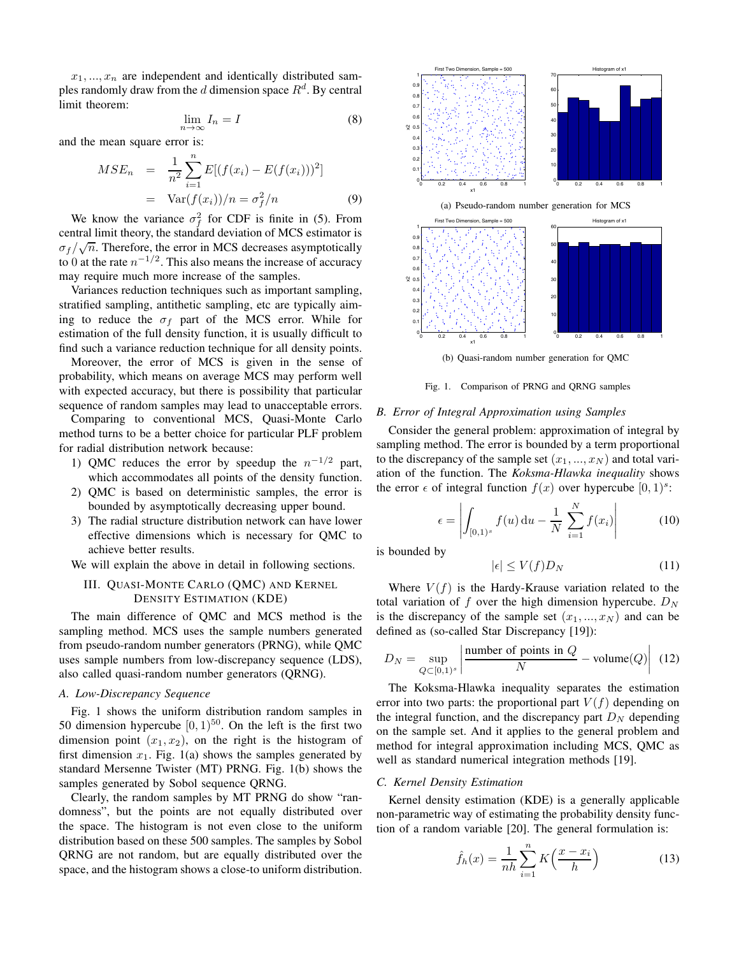$x_1, \ldots, x_n$  are independent and identically distributed samples randomly draw from the  $d$  dimension space  $R^d$ . By central limit theorem:

$$
\lim_{n \to \infty} I_n = I \tag{8}
$$

and the mean square error is:

$$
MSE_n = \frac{1}{n^2} \sum_{i=1}^n E[(f(x_i) - E(f(x_i)))^2]
$$
  
=  $\text{Var}(f(x_i))/n = \sigma_f^2/n$  (9)

We know the variance  $\sigma_f^2$  for CDF is finite in (5). From central limit theory, the standard deviation of MCS estimator is  $\sigma_f/\sqrt{n}$ . Therefore, the error in MCS decreases asymptotically to 0 at the rate  $n^{-1/2}$ . This also means the increase of accuracy may require much more increase of the samples.

Variances reduction techniques such as important sampling, stratified sampling, antithetic sampling, etc are typically aiming to reduce the  $\sigma_f$  part of the MCS error. While for estimation of the full density function, it is usually difficult to find such a variance reduction technique for all density points.

Moreover, the error of MCS is given in the sense of probability, which means on average MCS may perform well with expected accuracy, but there is possibility that particular sequence of random samples may lead to unacceptable errors.

Comparing to conventional MCS, Quasi-Monte Carlo method turns to be a better choice for particular PLF problem for radial distribution network because:

- 1) QMC reduces the error by speedup the  $n^{-1/2}$  part, which accommodates all points of the density function.
- 2) QMC is based on deterministic samples, the error is bounded by asymptotically decreasing upper bound.
- 3) The radial structure distribution network can have lower effective dimensions which is necessary for QMC to achieve better results.

We will explain the above in detail in following sections.

# III. QUASI-MONTE CARLO (QMC) AND KERNEL DENSITY ESTIMATION (KDE)

The main difference of QMC and MCS method is the sampling method. MCS uses the sample numbers generated from pseudo-random number generators (PRNG), while QMC uses sample numbers from low-discrepancy sequence (LDS), also called quasi-random number generators (QRNG).

#### *A. Low-Discrepancy Sequence*

Fig. 1 shows the uniform distribution random samples in 50 dimension hypercube  $[0, 1)^{50}$ . On the left is the first two dimension point  $(x_1, x_2)$ , on the right is the histogram of first dimension  $x_1$ . Fig. 1(a) shows the samples generated by standard Mersenne Twister (MT) PRNG. Fig. 1(b) shows the samples generated by Sobol sequence QRNG.

Clearly, the random samples by MT PRNG do show "randomness", but the points are not equally distributed over the space. The histogram is not even close to the uniform distribution based on these 500 samples. The samples by Sobol QRNG are not random, but are equally distributed over the space, and the histogram shows a close-to uniform distribution.



(b) Quasi-random number generation for QMC

Fig. 1. Comparison of PRNG and QRNG samples

# *B. Error of Integral Approximation using Samples*

Consider the general problem: approximation of integral by sampling method. The error is bounded by a term proportional to the discrepancy of the sample set  $(x_1, ..., x_N)$  and total variation of the function. The *Koksma-Hlawka inequality* shows the error  $\epsilon$  of integral function  $f(x)$  over hypercube  $[0, 1)^s$ :

$$
\epsilon = \left| \int_{[0,1)^s} f(u) \, \mathrm{d}u - \frac{1}{N} \sum_{i=1}^N f(x_i) \right| \tag{10}
$$

is bounded by

$$
|\epsilon| \le V(f)D_N \tag{11}
$$

Where  $V(f)$  is the Hardy-Krause variation related to the total variation of  $f$  over the high dimension hypercube.  $D<sub>N</sub>$ is the discrepancy of the sample set  $(x_1, ..., x_N)$  and can be defined as (so-called Star Discrepancy [19]):

$$
D_N = \sup_{Q \subset [0,1)^s} \left| \frac{\text{number of points in } Q}{N} - \text{volume}(Q) \right| \tag{12}
$$

The Koksma-Hlawka inequality separates the estimation error into two parts: the proportional part  $V(f)$  depending on the integral function, and the discrepancy part  $D<sub>N</sub>$  depending on the sample set. And it applies to the general problem and method for integral approximation including MCS, QMC as well as standard numerical integration methods [19].

## *C. Kernel Density Estimation*

Kernel density estimation (KDE) is a generally applicable non-parametric way of estimating the probability density function of a random variable [20]. The general formulation is:

$$
\hat{f}_h(x) = \frac{1}{nh} \sum_{i=1}^n K\left(\frac{x - x_i}{h}\right) \tag{13}
$$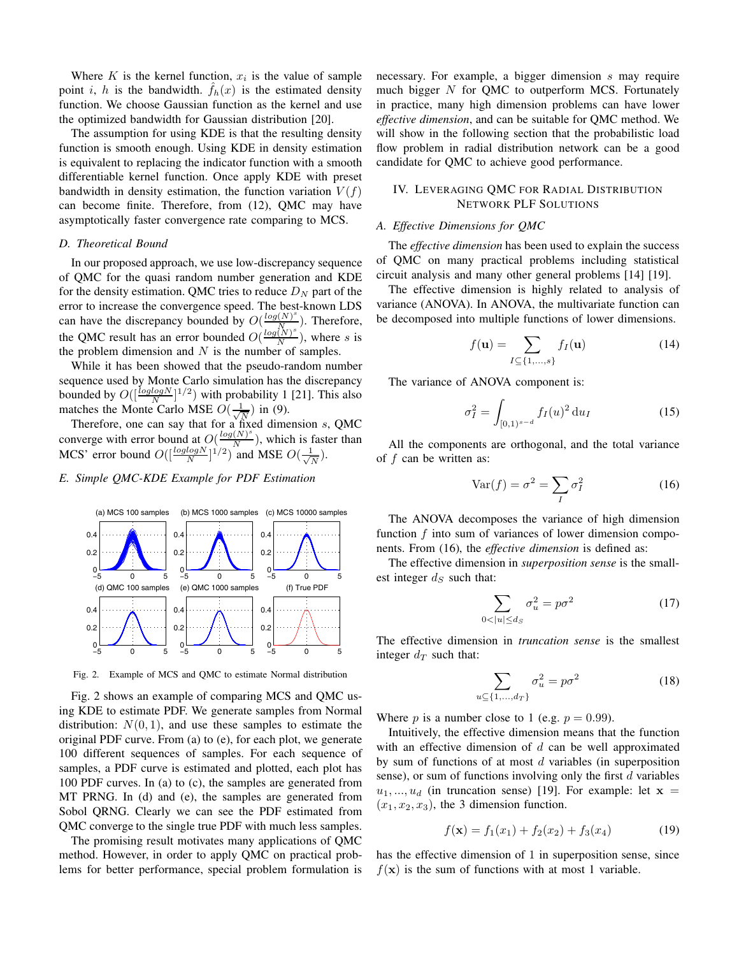Where  $K$  is the kernel function,  $x_i$  is the value of sample point i, h is the bandwidth.  $f_h(x)$  is the estimated density function. We choose Gaussian function as the kernel and use the optimized bandwidth for Gaussian distribution [20].

The assumption for using KDE is that the resulting density function is smooth enough. Using KDE in density estimation is equivalent to replacing the indicator function with a smooth differentiable kernel function. Once apply KDE with preset bandwidth in density estimation, the function variation  $V(f)$ can become finite. Therefore, from (12), QMC may have asymptotically faster convergence rate comparing to MCS.

## *D. Theoretical Bound*

In our proposed approach, we use low-discrepancy sequence of QMC for the quasi random number generation and KDE for the density estimation. QMC tries to reduce  $D<sub>N</sub>$  part of the error to increase the convergence speed. The best-known LDS can have the discrepancy bounded by  $O(\frac{\log(N)^3}{N_{\text{max}}})$ . Therefore, the QMC result has an error bounded  $O(\frac{\log(N)^s}{N})$ , where s is the problem dimension and  $N$  is the number of samples.

While it has been showed that the pseudo-random number sequence used by Monte Carlo simulation has the discrepancy bounded by  $O(\left[\frac{loglog N}{N}\right]^{1/2})$  with probability 1 [21]. This also matches the Monte Carlo MSE  $O(\frac{1}{\sqrt{N}})$  in (9).

Therefore, one can say that for a fixed dimension  $s$ , QMC converge with error bound at  $O(\frac{log(N)^s}{N})$ , which is faster than MCS' error bound  $O(\left[\frac{loglog N}{N}\right]^{1/2})$  and MSE  $O(\frac{1}{\sqrt{N}})$ .

# *E. Simple QMC-KDE Example for PDF Estimation*



Fig. 2. Example of MCS and QMC to estimate Normal distribution

Fig. 2 shows an example of comparing MCS and QMC using KDE to estimate PDF. We generate samples from Normal distribution:  $N(0, 1)$ , and use these samples to estimate the original PDF curve. From (a) to (e), for each plot, we generate 100 different sequences of samples. For each sequence of samples, a PDF curve is estimated and plotted, each plot has 100 PDF curves. In (a) to (c), the samples are generated from MT PRNG. In (d) and (e), the samples are generated from Sobol QRNG. Clearly we can see the PDF estimated from QMC converge to the single true PDF with much less samples.

The promising result motivates many applications of QMC method. However, in order to apply QMC on practical problems for better performance, special problem formulation is necessary. For example, a bigger dimension s may require much bigger N for QMC to outperform MCS. Fortunately in practice, many high dimension problems can have lower *effective dimension*, and can be suitable for QMC method. We will show in the following section that the probabilistic load flow problem in radial distribution network can be a good candidate for QMC to achieve good performance.

## IV. LEVERAGING QMC FOR RADIAL DISTRIBUTION NETWORK PLF SOLUTIONS

# *A. Effective Dimensions for QMC*

The *effective dimension* has been used to explain the success of QMC on many practical problems including statistical circuit analysis and many other general problems [14] [19].

The effective dimension is highly related to analysis of variance (ANOVA). In ANOVA, the multivariate function can be decomposed into multiple functions of lower dimensions.

$$
f(\mathbf{u}) = \sum_{I \subseteq \{1,\dots,s\}} f_I(\mathbf{u})
$$
 (14)

The variance of ANOVA component is:

$$
\sigma_I^2 = \int_{[0,1)^{s-d}} f_I(u)^2 \, \mathrm{d}u_I \tag{15}
$$

All the components are orthogonal, and the total variance of  $f$  can be written as:

$$
\text{Var}(f) = \sigma^2 = \sum_{I} \sigma_I^2 \tag{16}
$$

The ANOVA decomposes the variance of high dimension function f into sum of variances of lower dimension components. From (16), the *effective dimension* is defined as:

The effective dimension in *superposition sense* is the smallest integer  $d<sub>S</sub>$  such that:

$$
\sum_{0 < |u| \le ds} \sigma_u^2 = p\sigma^2 \tag{17}
$$

The effective dimension in *truncation sense* is the smallest integer  $d_T$  such that:

$$
\sum_{u \subseteq \{1,\dots,d_T\}} \sigma_u^2 = p\sigma^2 \tag{18}
$$

Where p is a number close to 1 (e.g.  $p = 0.99$ ).

Intuitively, the effective dimension means that the function with an effective dimension of  $d$  can be well approximated by sum of functions of at most  $d$  variables (in superposition sense), or sum of functions involving only the first  $d$  variables  $u_1, \ldots, u_d$  (in truncation sense) [19]. For example: let  $\mathbf{x} =$  $(x_1, x_2, x_3)$ , the 3 dimension function.

$$
f(\mathbf{x}) = f_1(x_1) + f_2(x_2) + f_3(x_4)
$$
 (19)

has the effective dimension of 1 in superposition sense, since  $f(\mathbf{x})$  is the sum of functions with at most 1 variable.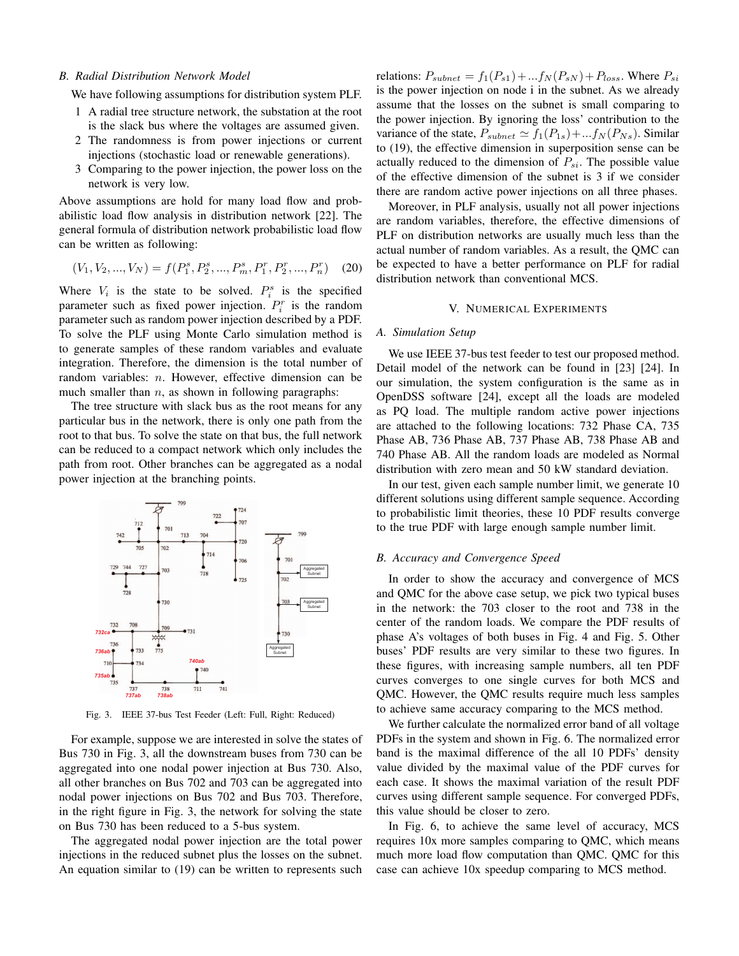#### *B. Radial Distribution Network Model*

We have following assumptions for distribution system PLF.

- 1 A radial tree structure network, the substation at the root is the slack bus where the voltages are assumed given.
- 2 The randomness is from power injections or current injections (stochastic load or renewable generations).
- 3 Comparing to the power injection, the power loss on the network is very low.

Above assumptions are hold for many load flow and probabilistic load flow analysis in distribution network [22]. The general formula of distribution network probabilistic load flow can be written as following:

$$
(V_1, V_2, ..., V_N) = f(P_1^s, P_2^s, ..., P_m^s, P_1^r, P_2^r, ..., P_n^r)
$$
 (20)

Where  $V_i$  is the state to be solved.  $P_i^s$  is the specified parameter such as fixed power injection.  $P_i^r$  is the random parameter such as random power injection described by a PDF. To solve the PLF using Monte Carlo simulation method is to generate samples of these random variables and evaluate integration. Therefore, the dimension is the total number of random variables: n. However, effective dimension can be much smaller than  $n$ , as shown in following paragraphs:

The tree structure with slack bus as the root means for any particular bus in the network, there is only one path from the root to that bus. To solve the state on that bus, the full network can be reduced to a compact network which only includes the path from root. Other branches can be aggregated as a nodal power injection at the branching points.



Fig. 3. IEEE 37-bus Test Feeder (Left: Full, Right: Reduced)

For example, suppose we are interested in solve the states of Bus 730 in Fig. 3, all the downstream buses from 730 can be aggregated into one nodal power injection at Bus 730. Also, all other branches on Bus 702 and 703 can be aggregated into nodal power injections on Bus 702 and Bus 703. Therefore, in the right figure in Fig. 3, the network for solving the state on Bus 730 has been reduced to a 5-bus system.

The aggregated nodal power injection are the total power injections in the reduced subnet plus the losses on the subnet. An equation similar to (19) can be written to represents such relations:  $P_{subnet} = f_1(P_{s1}) + ... f_N(P_{sN}) + P_{loss}$ . Where  $P_{si}$ is the power injection on node i in the subnet. As we already assume that the losses on the subnet is small comparing to the power injection. By ignoring the loss' contribution to the variance of the state,  $P_{subnet} \simeq f_1(P_{1s}) + ... f_N(P_{Ns})$ . Similar to (19), the effective dimension in superposition sense can be actually reduced to the dimension of  $P_{si}$ . The possible value of the effective dimension of the subnet is 3 if we consider there are random active power injections on all three phases.

Moreover, in PLF analysis, usually not all power injections are random variables, therefore, the effective dimensions of PLF on distribution networks are usually much less than the actual number of random variables. As a result, the QMC can be expected to have a better performance on PLF for radial distribution network than conventional MCS.

#### V. NUMERICAL EXPERIMENTS

### *A. Simulation Setup*

We use IEEE 37-bus test feeder to test our proposed method. Detail model of the network can be found in [23] [24]. In our simulation, the system configuration is the same as in OpenDSS software [24], except all the loads are modeled as PQ load. The multiple random active power injections are attached to the following locations: 732 Phase CA, 735 Phase AB, 736 Phase AB, 737 Phase AB, 738 Phase AB and 740 Phase AB. All the random loads are modeled as Normal distribution with zero mean and 50 kW standard deviation.

In our test, given each sample number limit, we generate 10 different solutions using different sample sequence. According to probabilistic limit theories, these 10 PDF results converge to the true PDF with large enough sample number limit.

### *B. Accuracy and Convergence Speed*

In order to show the accuracy and convergence of MCS and QMC for the above case setup, we pick two typical buses in the network: the 703 closer to the root and 738 in the center of the random loads. We compare the PDF results of phase A's voltages of both buses in Fig. 4 and Fig. 5. Other buses' PDF results are very similar to these two figures. In these figures, with increasing sample numbers, all ten PDF curves converges to one single curves for both MCS and QMC. However, the QMC results require much less samples to achieve same accuracy comparing to the MCS method.

We further calculate the normalized error band of all voltage PDFs in the system and shown in Fig. 6. The normalized error band is the maximal difference of the all 10 PDFs' density value divided by the maximal value of the PDF curves for each case. It shows the maximal variation of the result PDF curves using different sample sequence. For converged PDFs, this value should be closer to zero.

In Fig. 6, to achieve the same level of accuracy, MCS requires 10x more samples comparing to QMC, which means much more load flow computation than QMC. QMC for this case can achieve 10x speedup comparing to MCS method.